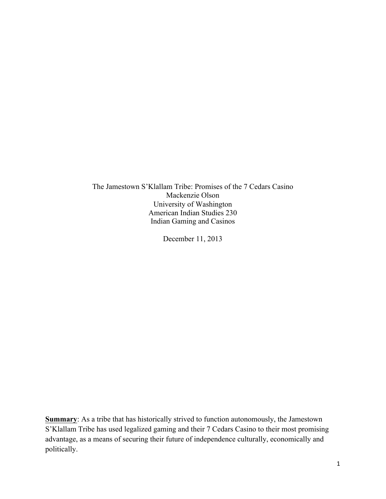The Jamestown S'Klallam Tribe: Promises of the 7 Cedars Casino Mackenzie Olson University of Washington American Indian Studies 230 Indian Gaming and Casinos

December 11, 2013

**Summary:** As a tribe that has historically strived to function autonomously, the Jamestown S'Klallam Tribe has used legalized gaming and their 7 Cedars Casino to their most promising advantage, as a means of securing their future of independence culturally, economically and politically.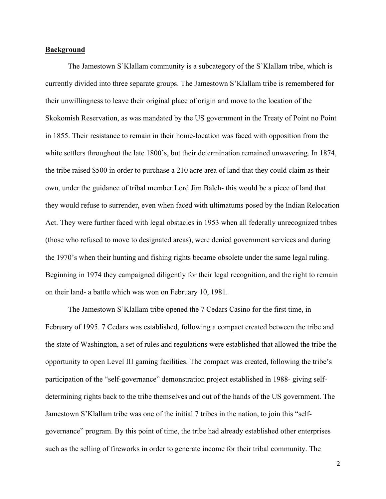## **Background**

The Jamestown S'Klallam community is a subcategory of the S'Klallam tribe, which is currently divided into three separate groups. The Jamestown S'Klallam tribe is remembered for their unwillingness to leave their original place of origin and move to the location of the Skokomish Reservation, as was mandated by the US government in the Treaty of Point no Point in 1855. Their resistance to remain in their home-location was faced with opposition from the white settlers throughout the late 1800's, but their determination remained unwavering. In 1874, the tribe raised \$500 in order to purchase a 210 acre area of land that they could claim as their own, under the guidance of tribal member Lord Jim Balch- this would be a piece of land that they would refuse to surrender, even when faced with ultimatums posed by the Indian Relocation Act. They were further faced with legal obstacles in 1953 when all federally unrecognized tribes (those who refused to move to designated areas), were denied government services and during the 1970's when their hunting and fishing rights became obsolete under the same legal ruling. Beginning in 1974 they campaigned diligently for their legal recognition, and the right to remain on their land- a battle which was won on February 10, 1981.

The Jamestown S'Klallam tribe opened the 7 Cedars Casino for the first time, in February of 1995. 7 Cedars was established, following a compact created between the tribe and the state of Washington, a set of rules and regulations were established that allowed the tribe the opportunity to open Level III gaming facilities. The compact was created, following the tribe's participation of the "self-governance" demonstration project established in 1988- giving selfdetermining rights back to the tribe themselves and out of the hands of the US government. The Jamestown S'Klallam tribe was one of the initial 7 tribes in the nation, to join this "selfgovernance" program. By this point of time, the tribe had already established other enterprises such as the selling of fireworks in order to generate income for their tribal community. The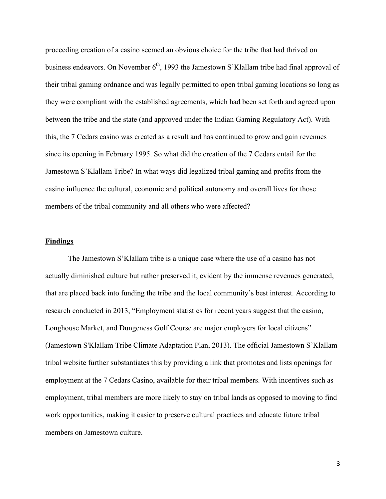proceeding creation of a casino seemed an obvious choice for the tribe that had thrived on business endeavors. On November 6<sup>th</sup>, 1993 the Jamestown S'Klallam tribe had final approval of their tribal gaming ordnance and was legally permitted to open tribal gaming locations so long as they were compliant with the established agreements, which had been set forth and agreed upon between the tribe and the state (and approved under the Indian Gaming Regulatory Act). With this, the 7 Cedars casino was created as a result and has continued to grow and gain revenues since its opening in February 1995. So what did the creation of the 7 Cedars entail for the Jamestown S'Klallam Tribe? In what ways did legalized tribal gaming and profits from the casino influence the cultural, economic and political autonomy and overall lives for those members of the tribal community and all others who were affected?

## **Findings**

The Jamestown S'Klallam tribe is a unique case where the use of a casino has not actually diminished culture but rather preserved it, evident by the immense revenues generated, that are placed back into funding the tribe and the local community's best interest. According to research conducted in 2013, "Employment statistics for recent years suggest that the casino, Longhouse Market, and Dungeness Golf Course are major employers for local citizens" (Jamestown S'Klallam Tribe Climate Adaptation Plan, 2013). The official Jamestown S'Klallam tribal website further substantiates this by providing a link that promotes and lists openings for employment at the 7 Cedars Casino, available for their tribal members. With incentives such as employment, tribal members are more likely to stay on tribal lands as opposed to moving to find work opportunities, making it easier to preserve cultural practices and educate future tribal members on Jamestown culture.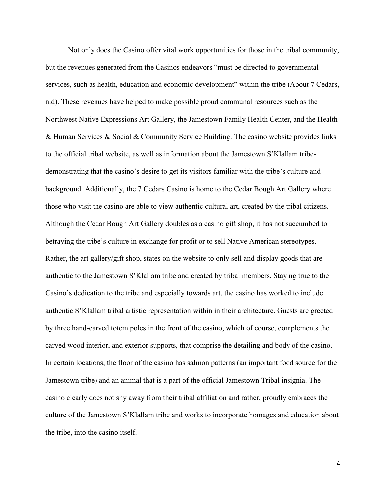Not only does the Casino offer vital work opportunities for those in the tribal community, but the revenues generated from the Casinos endeavors "must be directed to governmental services, such as health, education and economic development" within the tribe (About 7 Cedars, n.d). These revenues have helped to make possible proud communal resources such as the Northwest Native Expressions Art Gallery, the Jamestown Family Health Center, and the Health & Human Services & Social & Community Service Building. The casino website provides links to the official tribal website, as well as information about the Jamestown S'Klallam tribedemonstrating that the casino's desire to get its visitors familiar with the tribe's culture and background. Additionally, the 7 Cedars Casino is home to the Cedar Bough Art Gallery where those who visit the casino are able to view authentic cultural art, created by the tribal citizens. Although the Cedar Bough Art Gallery doubles as a casino gift shop, it has not succumbed to betraying the tribe's culture in exchange for profit or to sell Native American stereotypes. Rather, the art gallery/gift shop, states on the website to only sell and display goods that are authentic to the Jamestown S'Klallam tribe and created by tribal members. Staying true to the Casino's dedication to the tribe and especially towards art, the casino has worked to include authentic S'Klallam tribal artistic representation within in their architecture. Guests are greeted by three hand-carved totem poles in the front of the casino, which of course, complements the carved wood interior, and exterior supports, that comprise the detailing and body of the casino. In certain locations, the floor of the casino has salmon patterns (an important food source for the Jamestown tribe) and an animal that is a part of the official Jamestown Tribal insignia. The casino clearly does not shy away from their tribal affiliation and rather, proudly embraces the culture of the Jamestown S'Klallam tribe and works to incorporate homages and education about the tribe, into the casino itself.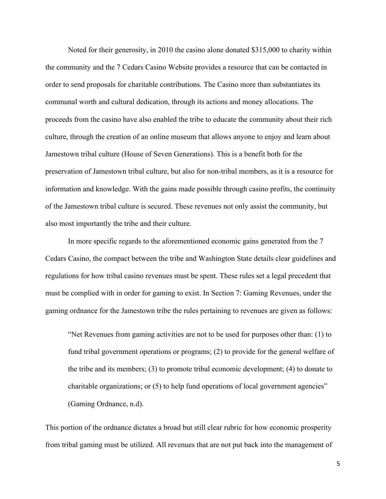Noted for their generosity, in 2010 the casino alone donated \$315,000 to charity within the community and the 7 Cedars Casino Website provides a resource that can be contacted in order to send proposals for charitable contributions. The Casino more than substantiates its communal worth and cultural dedication, through its actions and money allocations. The proceeds from the casino have also enabled the tribe to educate the community about their rich culture, through the creation of an online museum that allows anyone to enjoy and learn about Jamestown tribal culture (House of Seven Generations). This is a benefit both for the preservation of Jamestown tribal culture, but also for non-tribal members, as it is a resource for information and knowledge. With the gains made possible through casino profits, the continuity of the Jamestown tribal culture is secured. These revenues not only assist the community, but also most importantly the tribe and their culture.

In more specific regards to the aforementioned economic gains generated from the 7 Cedars Casino, the compact between the tribe and Washington State details clear guidelines and regulations for how tribal casino revenues must be spent. These rules set a legal precedent that must be complied with in order for gaming to exist. In Section 7: Gaming Revenues, under the gaming ordnance for the Jamestown tribe the rules pertaining to revenues are given as follows:

"Net Revenues from gaming activities are not to be used for purposes other than: (1) to fund tribal government operations or programs; (2) to provide for the general welfare of the tribe and its members; (3) to promote tribal economic development; (4) to donate to charitable organizations; or (5) to help fund operations of local government agencies" (Gaming Ordnance, n.d).

This portion of the ordnance dictates a broad but still clear rubric for how economic prosperity from tribal gaming must be utilized. All revenues that are not put back into the management of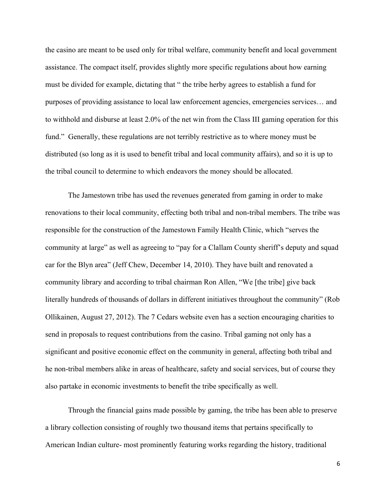the casino are meant to be used only for tribal welfare, community benefit and local government assistance. The compact itself, provides slightly more specific regulations about how earning must be divided for example, dictating that " the tribe herby agrees to establish a fund for purposes of providing assistance to local law enforcement agencies, emergencies services… and to withhold and disburse at least 2.0% of the net win from the Class III gaming operation for this fund." Generally, these regulations are not terribly restrictive as to where money must be distributed (so long as it is used to benefit tribal and local community affairs), and so it is up to the tribal council to determine to which endeavors the money should be allocated.

The Jamestown tribe has used the revenues generated from gaming in order to make renovations to their local community, effecting both tribal and non-tribal members. The tribe was responsible for the construction of the Jamestown Family Health Clinic, which "serves the community at large" as well as agreeing to "pay for a Clallam County sheriff's deputy and squad car for the Blyn area" (Jeff Chew, December 14, 2010). They have built and renovated a community library and according to tribal chairman Ron Allen, "We [the tribe] give back literally hundreds of thousands of dollars in different initiatives throughout the community" (Rob Ollikainen, August 27, 2012). The 7 Cedars website even has a section encouraging charities to send in proposals to request contributions from the casino. Tribal gaming not only has a significant and positive economic effect on the community in general, affecting both tribal and he non-tribal members alike in areas of healthcare, safety and social services, but of course they also partake in economic investments to benefit the tribe specifically as well.

Through the financial gains made possible by gaming, the tribe has been able to preserve a library collection consisting of roughly two thousand items that pertains specifically to American Indian culture- most prominently featuring works regarding the history, traditional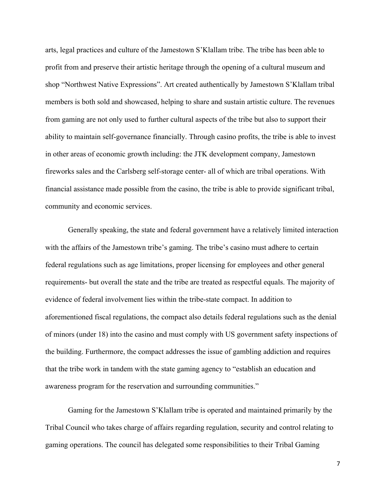arts, legal practices and culture of the Jamestown S'Klallam tribe. The tribe has been able to profit from and preserve their artistic heritage through the opening of a cultural museum and shop "Northwest Native Expressions". Art created authentically by Jamestown S'Klallam tribal members is both sold and showcased, helping to share and sustain artistic culture. The revenues from gaming are not only used to further cultural aspects of the tribe but also to support their ability to maintain self-governance financially. Through casino profits, the tribe is able to invest in other areas of economic growth including: the JTK development company, Jamestown fireworks sales and the Carlsberg self-storage center- all of which are tribal operations. With financial assistance made possible from the casino, the tribe is able to provide significant tribal, community and economic services.

Generally speaking, the state and federal government have a relatively limited interaction with the affairs of the Jamestown tribe's gaming. The tribe's casino must adhere to certain federal regulations such as age limitations, proper licensing for employees and other general requirements- but overall the state and the tribe are treated as respectful equals. The majority of evidence of federal involvement lies within the tribe-state compact. In addition to aforementioned fiscal regulations, the compact also details federal regulations such as the denial of minors (under 18) into the casino and must comply with US government safety inspections of the building. Furthermore, the compact addresses the issue of gambling addiction and requires that the tribe work in tandem with the state gaming agency to "establish an education and awareness program for the reservation and surrounding communities."

Gaming for the Jamestown S'Klallam tribe is operated and maintained primarily by the Tribal Council who takes charge of affairs regarding regulation, security and control relating to gaming operations. The council has delegated some responsibilities to their Tribal Gaming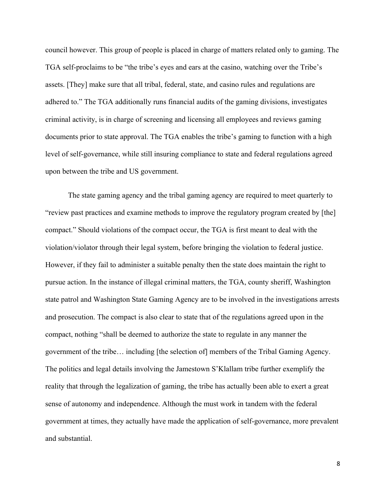council however. This group of people is placed in charge of matters related only to gaming. The TGA self-proclaims to be "the tribe's eyes and ears at the casino, watching over the Tribe's assets. [They] make sure that all tribal, federal, state, and casino rules and regulations are adhered to." The TGA additionally runs financial audits of the gaming divisions, investigates criminal activity, is in charge of screening and licensing all employees and reviews gaming documents prior to state approval. The TGA enables the tribe's gaming to function with a high level of self-governance, while still insuring compliance to state and federal regulations agreed upon between the tribe and US government.

The state gaming agency and the tribal gaming agency are required to meet quarterly to "review past practices and examine methods to improve the regulatory program created by [the] compact." Should violations of the compact occur, the TGA is first meant to deal with the violation/violator through their legal system, before bringing the violation to federal justice. However, if they fail to administer a suitable penalty then the state does maintain the right to pursue action. In the instance of illegal criminal matters, the TGA, county sheriff, Washington state patrol and Washington State Gaming Agency are to be involved in the investigations arrests and prosecution. The compact is also clear to state that of the regulations agreed upon in the compact, nothing "shall be deemed to authorize the state to regulate in any manner the government of the tribe… including [the selection of] members of the Tribal Gaming Agency. The politics and legal details involving the Jamestown S'Klallam tribe further exemplify the reality that through the legalization of gaming, the tribe has actually been able to exert a great sense of autonomy and independence. Although the must work in tandem with the federal government at times, they actually have made the application of self-governance, more prevalent and substantial.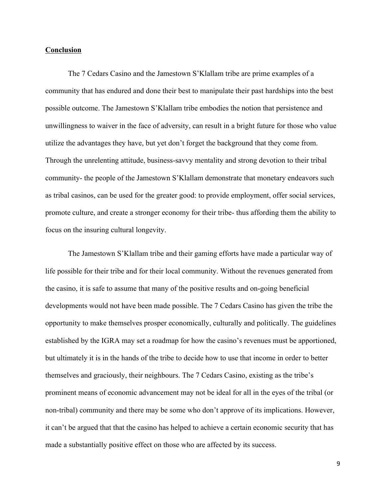## **Conclusion**

The 7 Cedars Casino and the Jamestown S'Klallam tribe are prime examples of a community that has endured and done their best to manipulate their past hardships into the best possible outcome. The Jamestown S'Klallam tribe embodies the notion that persistence and unwillingness to waiver in the face of adversity, can result in a bright future for those who value utilize the advantages they have, but yet don't forget the background that they come from. Through the unrelenting attitude, business-savvy mentality and strong devotion to their tribal community- the people of the Jamestown S'Klallam demonstrate that monetary endeavors such as tribal casinos, can be used for the greater good: to provide employment, offer social services, promote culture, and create a stronger economy for their tribe- thus affording them the ability to focus on the insuring cultural longevity.

The Jamestown S'Klallam tribe and their gaming efforts have made a particular way of life possible for their tribe and for their local community. Without the revenues generated from the casino, it is safe to assume that many of the positive results and on-going beneficial developments would not have been made possible. The 7 Cedars Casino has given the tribe the opportunity to make themselves prosper economically, culturally and politically. The guidelines established by the IGRA may set a roadmap for how the casino's revenues must be apportioned, but ultimately it is in the hands of the tribe to decide how to use that income in order to better themselves and graciously, their neighbours. The 7 Cedars Casino, existing as the tribe's prominent means of economic advancement may not be ideal for all in the eyes of the tribal (or non-tribal) community and there may be some who don't approve of its implications. However, it can't be argued that that the casino has helped to achieve a certain economic security that has made a substantially positive effect on those who are affected by its success.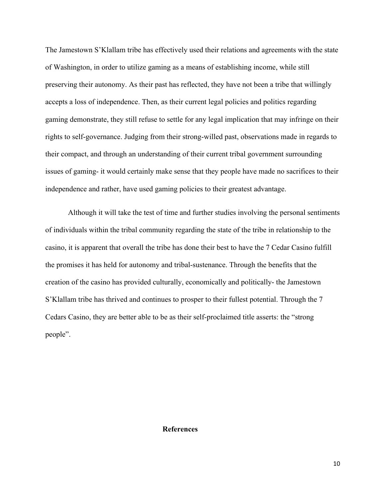The Jamestown S'Klallam tribe has effectively used their relations and agreements with the state of Washington, in order to utilize gaming as a means of establishing income, while still preserving their autonomy. As their past has reflected, they have not been a tribe that willingly accepts a loss of independence. Then, as their current legal policies and politics regarding gaming demonstrate, they still refuse to settle for any legal implication that may infringe on their rights to self-governance. Judging from their strong-willed past, observations made in regards to their compact, and through an understanding of their current tribal government surrounding issues of gaming- it would certainly make sense that they people have made no sacrifices to their independence and rather, have used gaming policies to their greatest advantage.

Although it will take the test of time and further studies involving the personal sentiments of individuals within the tribal community regarding the state of the tribe in relationship to the casino, it is apparent that overall the tribe has done their best to have the 7 Cedar Casino fulfill the promises it has held for autonomy and tribal-sustenance. Through the benefits that the creation of the casino has provided culturally, economically and politically- the Jamestown S'Klallam tribe has thrived and continues to prosper to their fullest potential. Through the 7 Cedars Casino, they are better able to be as their self-proclaimed title asserts: the "strong people".

## **References**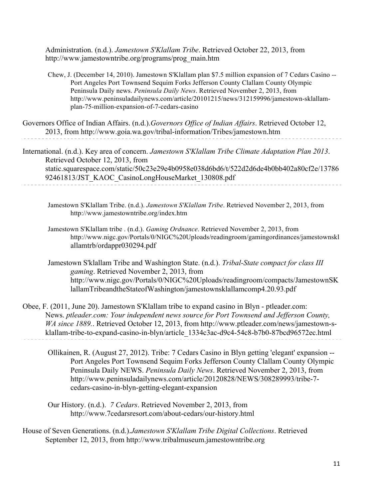Administration. (n.d.). *Jamestown S'Klallam Tribe*. Retrieved October 22, 2013, from http://www.jamestowntribe.org/programs/prog\_main.htm

Chew, J. (December 14, 2010). Jamestown S'Klallam plan \$7.5 million expansion of 7 Cedars Casino -- Port Angeles Port Townsend Sequim Forks Jefferson County Clallam County Olympic Peninsula Daily news. *Peninsula Daily News*. Retrieved November 2, 2013, from http://www.peninsuladailynews.com/article/20101215/news/312159996/jamestown-sklallamplan-75-million-expansion-of-7-cedars-casino

Governors Office of Indian Affairs. (n.d.).*Governors Office of Indian Affairs*. Retrieved October 12, 2013, from http://www.goia.wa.gov/tribal-information/Tribes/jamestown.htm

International. (n.d.). Key area of concern. *Jamestown S'Klallam Tribe Climate Adaptation Plan 2013*. Retrieved October 12, 2013, from static.squarespace.com/static/50c23e29e4b0958e038d6bd6/t/522d2d6de4b0bb402a80cf2e/13786 92461813/JST\_KAOC\_CasinoLongHouseMarket\_130808.pdf

Jamestown S'Klallam Tribe. (n.d.). *Jamestown S'Klallam Tribe*. Retrieved November 2, 2013, from http://www.jamestowntribe.org/index.htm

Jamestown S'Klallam tribe . (n.d.). *Gaming Ordnance*. Retrieved November 2, 2013, from http://www.nigc.gov/Portals/0/NIGC%20Uploads/readingroom/gamingordinances/jamestownskl allamtrb/ordappr030294.pdf

Jamestown S'klallam Tribe and Washington State. (n.d.). *Tribal-State compact for class III gaming*. Retrieved November 2, 2013, from http://www.nigc.gov/Portals/0/NIGC%20Uploads/readingroom/compacts/JamestownSK lallamTribeandtheStateofWashington/jamestownsklallamcomp4.20.93.pdf

Obee, F. (2011, June 20). Jamestown S'Klallam tribe to expand casino in Blyn - ptleader.com: News. *ptleader.com: Your independent news source for Port Townsend and Jefferson County, WA since 1889.*. Retrieved October 12, 2013, from http://www.ptleader.com/news/jamestown-sklallam-tribe-to-expand-casino-in-blyn/article\_1334c3ac-d9c4-54c8-b7b0-87bcd96572ec.html

Ollikainen, R. (August 27, 2012). Tribe: 7 Cedars Casino in Blyn getting 'elegant' expansion -- Port Angeles Port Townsend Sequim Forks Jefferson County Clallam County Olympic Peninsula Daily NEWS. *Peninsula Daily News*. Retrieved November 2, 2013, from http://www.peninsuladailynews.com/article/20120828/NEWS/308289993/tribe-7 cedars-casino-in-blyn-getting-elegant-expansion

Our History. (n.d.). *7 Cedars*. Retrieved November 2, 2013, from http://www.7cedarsresort.com/about-cedars/our-history.html

House of Seven Generations. (n.d.).*Jamestown S'Klallam Tribe Digital Collections*. Retrieved September 12, 2013, from http://www.tribalmuseum.jamestowntribe.org